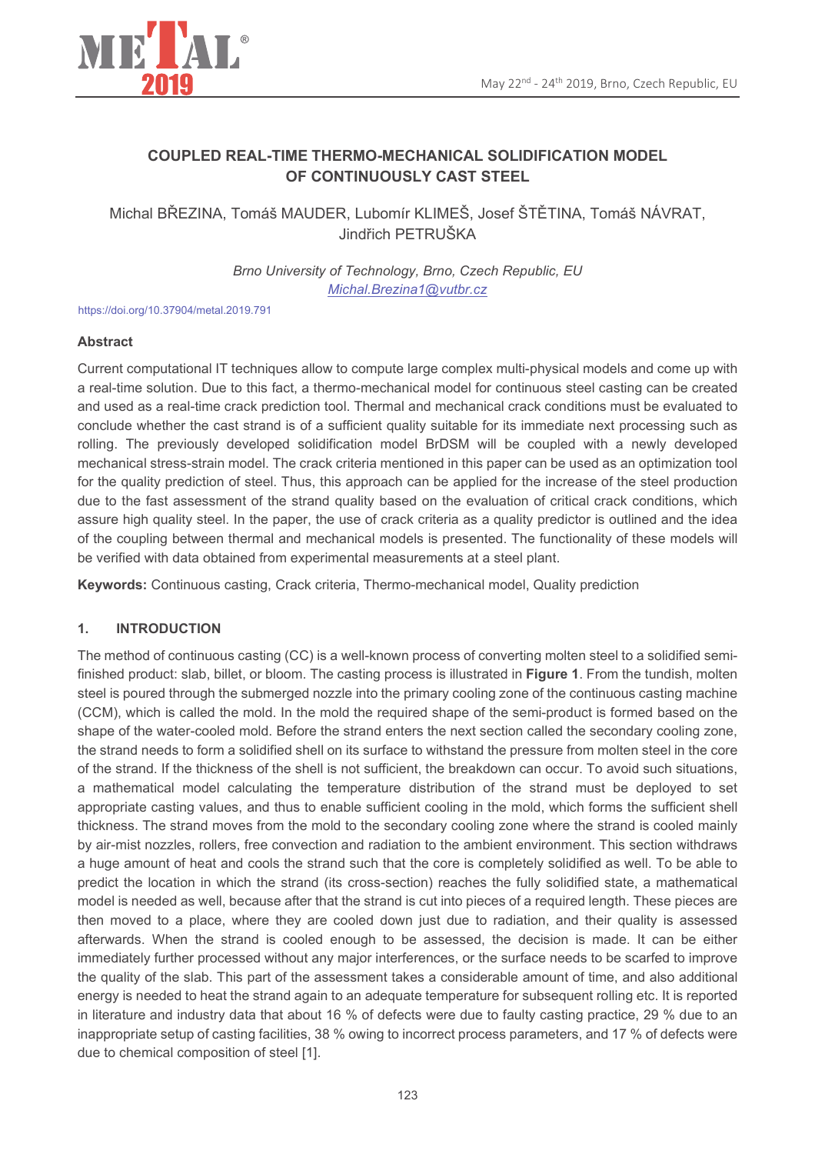

# **COUPLED REAL-TIME THERMO-MECHANICAL SOLIDIFICATION MODEL** OF CONTINUOUSLY CAST STEEL

Michal BŘEZINA, Tomáš MAUDER, Lubomír KLIMEŠ, Josef ŠTĚTINA, Tomáš NÁVRAT, Jindřich PETRUŠKA

> Brno University of Technology, Brno, Czech Republic, EU Michal.Brezina1@vutbr.cz

https://doi.org/10.37904/metal.2019.791

# **Abstract**

Current computational IT techniques allow to compute large complex multi-physical models and come up with a real-time solution. Due to this fact, a thermo-mechanical model for continuous steel casting can be created and used as a real-time crack prediction tool. Thermal and mechanical crack conditions must be evaluated to conclude whether the cast strand is of a sufficient quality suitable for its immediate next processing such as rolling. The previously developed solidification model BrDSM will be coupled with a newly developed mechanical stress-strain model. The crack criteria mentioned in this paper can be used as an optimization tool for the quality prediction of steel. Thus, this approach can be applied for the increase of the steel production due to the fast assessment of the strand quality based on the evaluation of critical crack conditions, which assure high quality steel. In the paper, the use of crack criteria as a quality predictor is outlined and the idea of the coupling between thermal and mechanical models is presented. The functionality of these models will be verified with data obtained from experimental measurements at a steel plant.

Keywords: Continuous casting, Crack criteria, Thermo-mechanical model, Quality prediction

### $\overline{1}$ . **INTRODUCTION**

The method of continuous casting (CC) is a well-known process of converting molten steel to a solidified semifinished product: slab, billet, or bloom. The casting process is illustrated in Figure 1. From the tundish, molten steel is poured through the submerged nozzle into the primary cooling zone of the continuous casting machine (CCM), which is called the mold. In the mold the required shape of the semi-product is formed based on the shape of the water-cooled mold. Before the strand enters the next section called the secondary cooling zone, the strand needs to form a solidified shell on its surface to withstand the pressure from molten steel in the core of the strand. If the thickness of the shell is not sufficient, the breakdown can occur. To avoid such situations, a mathematical model calculating the temperature distribution of the strand must be deployed to set appropriate casting values, and thus to enable sufficient cooling in the mold, which forms the sufficient shell thickness. The strand moves from the mold to the secondary cooling zone where the strand is cooled mainly by air-mist nozzles, rollers, free convection and radiation to the ambient environment. This section withdraws a huge amount of heat and cools the strand such that the core is completely solidified as well. To be able to predict the location in which the strand (its cross-section) reaches the fully solidified state, a mathematical model is needed as well, because after that the strand is cut into pieces of a required length. These pieces are then moved to a place, where they are cooled down just due to radiation, and their quality is assessed afterwards. When the strand is cooled enough to be assessed, the decision is made. It can be either immediately further processed without any major interferences, or the surface needs to be scarfed to improve the quality of the slab. This part of the assessment takes a considerable amount of time, and also additional energy is needed to heat the strand again to an adequate temperature for subsequent rolling etc. It is reported in literature and industry data that about 16 % of defects were due to faulty casting practice. 29 % due to an inappropriate setup of casting facilities, 38 % owing to incorrect process parameters, and 17 % of defects were due to chemical composition of steel [1].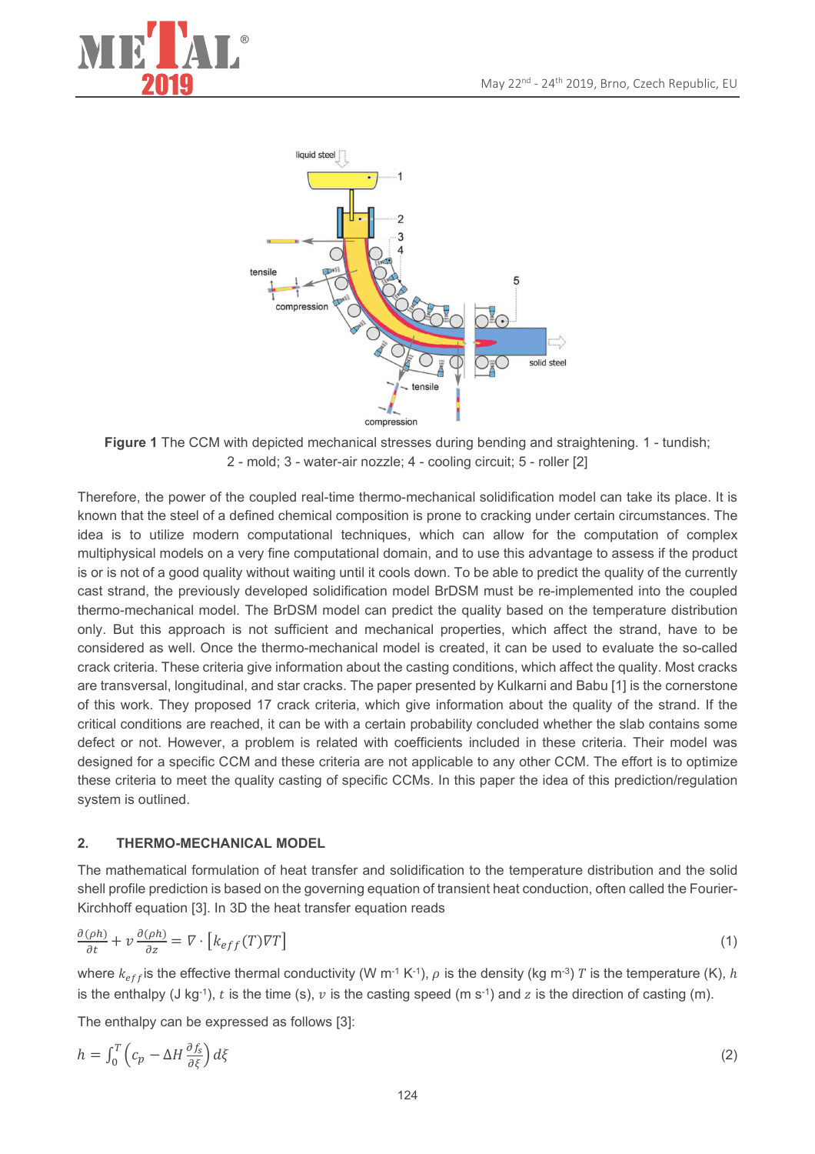



Figure 1 The CCM with depicted mechanical stresses during bending and straightening. 1 - tundish; 2 - mold: 3 - water-air nozzle: 4 - cooling circuit: 5 - roller [2]

Therefore, the power of the coupled real-time thermo-mechanical solidification model can take its place. It is known that the steel of a defined chemical composition is prone to cracking under certain circumstances. The idea is to utilize modern computational techniques, which can allow for the computation of complex multiphysical models on a very fine computational domain, and to use this advantage to assess if the product is or is not of a good quality without waiting until it cools down. To be able to predict the quality of the currently cast strand, the previously developed solidification model BrDSM must be re-implemented into the coupled thermo-mechanical model. The BrDSM model can predict the quality based on the temperature distribution only. But this approach is not sufficient and mechanical properties, which affect the strand, have to be considered as well. Once the thermo-mechanical model is created, it can be used to evaluate the so-called crack criteria. These criteria give information about the casting conditions, which affect the quality. Most cracks are transversal, longitudinal, and star cracks. The paper presented by Kulkarni and Babu [1] is the cornerstone of this work. They proposed 17 crack criteria, which give information about the quality of the strand. If the critical conditions are reached, it can be with a certain probability concluded whether the slab contains some defect or not. However, a problem is related with coefficients included in these criteria. Their model was designed for a specific CCM and these criteria are not applicable to any other CCM. The effort is to optimize these criteria to meet the quality casting of specific CCMs. In this paper the idea of this prediction/regulation system is outlined.

### $2<sub>1</sub>$ **THERMO-MECHANICAL MODEL**

The mathematical formulation of heat transfer and solidification to the temperature distribution and the solid shell profile prediction is based on the governing equation of transient heat conduction, often called the Fourier-Kirchhoff equation [3]. In 3D the heat transfer equation reads

$$
\frac{\partial(\rho h)}{\partial t} + v \frac{\partial(\rho h)}{\partial z} = \nabla \cdot \left[ k_{eff}(T) \nabla T \right] \tag{1}
$$

where  $k_{eff}$  is the effective thermal conductivity (W m<sup>-1</sup> K<sup>-1</sup>),  $\rho$  is the density (kg m<sup>-3</sup>) T is the temperature (K), h is the enthalpy (J kg<sup>-1</sup>), t is the time (s), v is the casting speed (m s<sup>-1</sup>) and z is the direction of casting (m).

The enthalpy can be expressed as follows [3]:

$$
h = \int_0^T \left( c_p - \Delta H \frac{\partial f_s}{\partial \xi} \right) d\xi \tag{2}
$$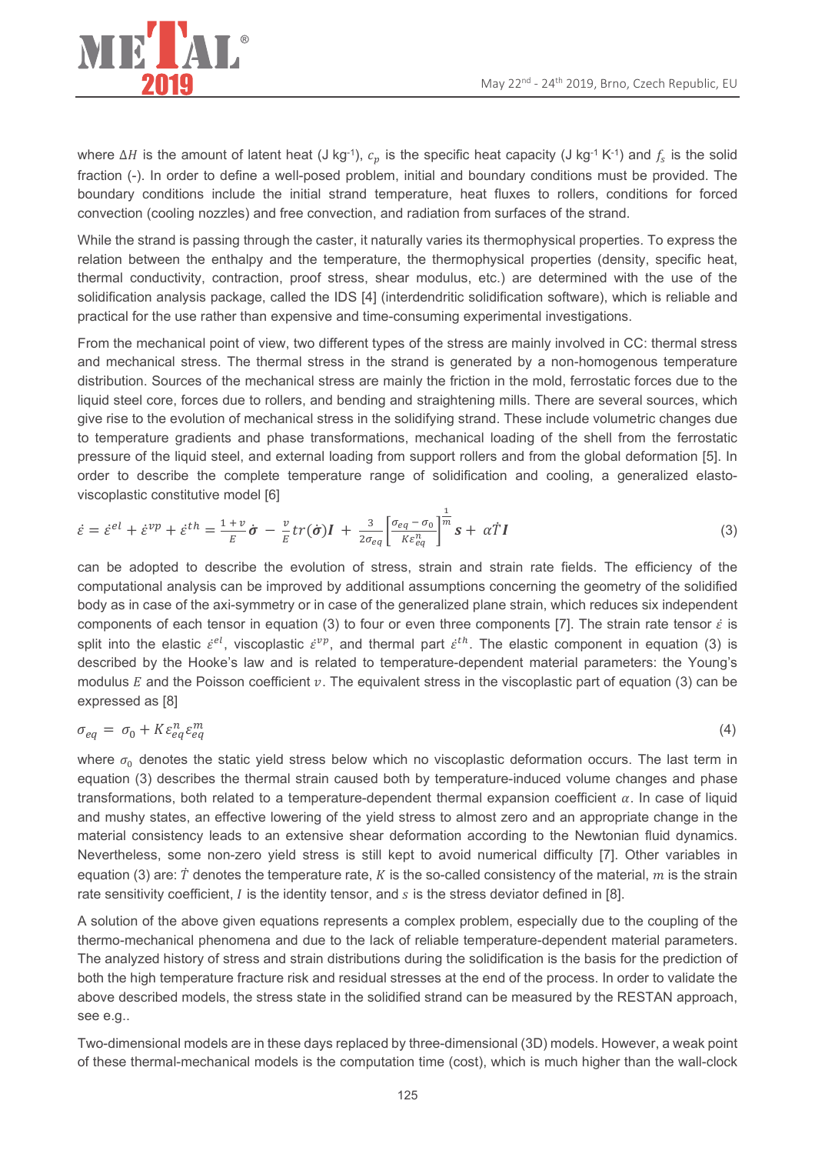

where  $\Delta H$  is the amount of latent heat (J kg<sup>-1</sup>),  $c_p$  is the specific heat capacity (J kg<sup>-1</sup> K<sup>-1</sup>) and  $f_s$  is the solid fraction (-). In order to define a well-posed problem, initial and boundary conditions must be provided. The boundary conditions include the initial strand temperature, heat fluxes to rollers, conditions for forced convection (cooling nozzles) and free convection, and radiation from surfaces of the strand.

While the strand is passing through the caster, it naturally varies its thermophysical properties. To express the relation between the enthalpy and the temperature, the thermophysical properties (density, specific heat, thermal conductivity, contraction, proof stress, shear modulus, etc.) are determined with the use of the solidification analysis package, called the IDS [4] (interdendritic solidification software), which is reliable and practical for the use rather than expensive and time-consuming experimental investigations.

From the mechanical point of view, two different types of the stress are mainly involved in CC: thermal stress and mechanical stress. The thermal stress in the strand is generated by a non-homogenous temperature distribution. Sources of the mechanical stress are mainly the friction in the mold, ferrostatic forces due to the liquid steel core, forces due to rollers, and bending and straightening mills. There are several sources, which give rise to the evolution of mechanical stress in the solidifying strand. These include volumetric changes due to temperature gradients and phase transformations, mechanical loading of the shell from the ferrostatic pressure of the liquid steel, and external loading from support rollers and from the global deformation [5]. In order to describe the complete temperature range of solidification and cooling, a generalized elastoviscoplastic constitutive model [6]

$$
\dot{\varepsilon} = \dot{\varepsilon}^{el} + \dot{\varepsilon}^{vp} + \dot{\varepsilon}^{th} = \frac{1+v}{E}\dot{\sigma} - \frac{v}{E}tr(\dot{\sigma})I + \frac{3}{2\sigma_{eq}}\left[\frac{\sigma_{eq} - \sigma_0}{K\varepsilon_{eq}^n}\right]^{\frac{1}{m}}s + \alpha T I
$$
\n(3)

can be adopted to describe the evolution of stress, strain and strain rate fields. The efficiency of the computational analysis can be improved by additional assumptions concerning the geometry of the solidified body as in case of the axi-symmetry or in case of the generalized plane strain, which reduces six independent components of each tensor in equation (3) to four or even three components [7]. The strain rate tensor  $\dot{\varepsilon}$  is split into the elastic  $\dot{\varepsilon}^{el}$ , viscoplastic  $\dot{\varepsilon}^{vp}$ , and thermal part  $\dot{\varepsilon}^{th}$ . The elastic component in equation (3) is described by the Hooke's law and is related to temperature-dependent material parameters: the Young's modulus  $E$  and the Poisson coefficient  $v$ . The equivalent stress in the viscoplastic part of equation (3) can be expressed as [8]

$$
\sigma_{eq} = \sigma_0 + K \varepsilon_{eq}^n \varepsilon_{eq}^m \tag{4}
$$

where  $\sigma_0$  denotes the static yield stress below which no viscoplastic deformation occurs. The last term in equation (3) describes the thermal strain caused both by temperature-induced volume changes and phase transformations, both related to a temperature-dependent thermal expansion coefficient  $\alpha$ . In case of liquid and mushy states, an effective lowering of the yield stress to almost zero and an appropriate change in the material consistency leads to an extensive shear deformation according to the Newtonian fluid dynamics. Nevertheless, some non-zero yield stress is still kept to avoid numerical difficulty [7]. Other variables in equation (3) are:  $\dot{T}$  denotes the temperature rate, K is the so-called consistency of the material, m is the strain rate sensitivity coefficient,  $I$  is the identity tensor, and  $s$  is the stress deviator defined in [8].

A solution of the above given equations represents a complex problem, especially due to the coupling of the thermo-mechanical phenomena and due to the lack of reliable temperature-dependent material parameters. The analyzed history of stress and strain distributions during the solidification is the basis for the prediction of both the high temperature fracture risk and residual stresses at the end of the process. In order to validate the above described models, the stress state in the solidified strand can be measured by the RESTAN approach, see e.g..

Two-dimensional models are in these days replaced by three-dimensional (3D) models. However, a weak point of these thermal-mechanical models is the computation time (cost), which is much higher than the wall-clock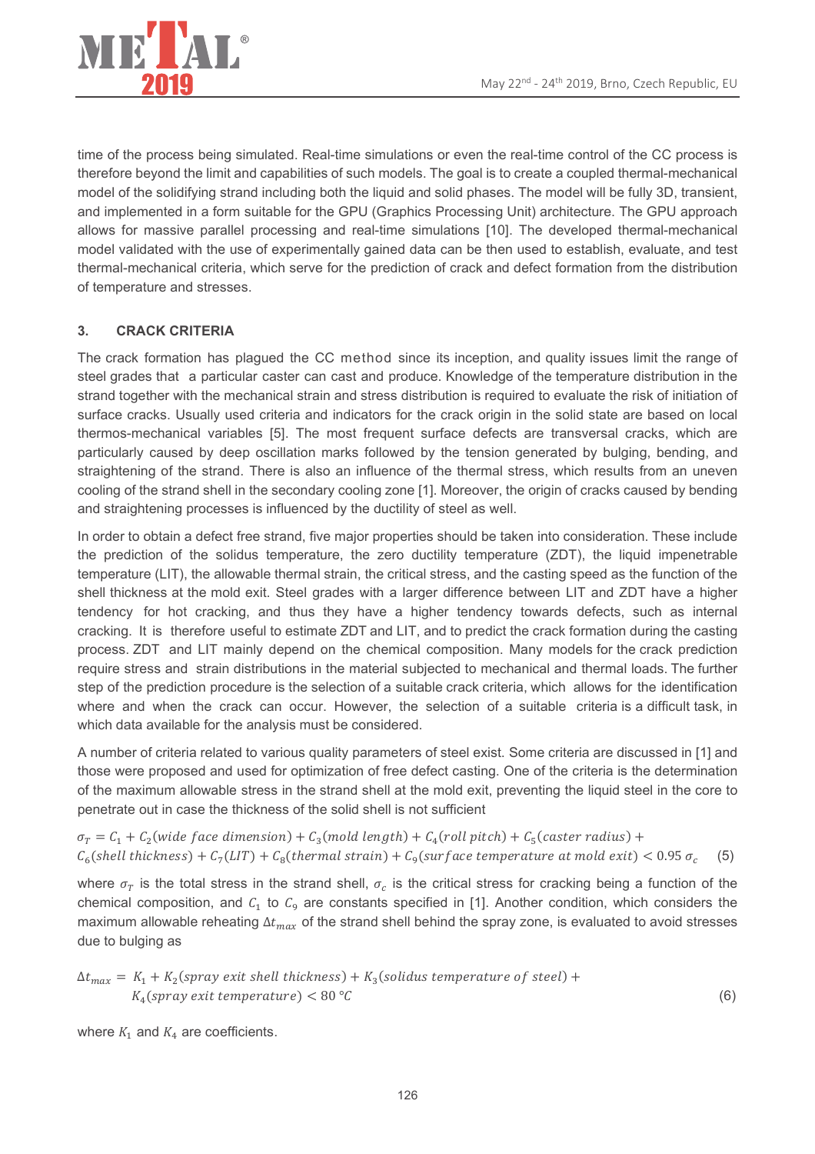

time of the process being simulated. Real-time simulations or even the real-time control of the CC process is therefore beyond the limit and capabilities of such models. The goal is to create a coupled thermal-mechanical model of the solidifying strand including both the liquid and solid phases. The model will be fully 3D, transient, and implemented in a form suitable for the GPU (Graphics Processing Unit) architecture. The GPU approach allows for massive parallel processing and real-time simulations [10]. The developed thermal-mechanical model validated with the use of experimentally gained data can be then used to establish, evaluate, and test thermal-mechanical criteria, which serve for the prediction of crack and defect formation from the distribution of temperature and stresses.

## $3.$ **CRACK CRITERIA**

The crack formation has plaqued the CC method since its inception, and quality issues limit the range of steel grades that a particular caster can cast and produce. Knowledge of the temperature distribution in the strand together with the mechanical strain and stress distribution is required to evaluate the risk of initiation of surface cracks. Usually used criteria and indicators for the crack origin in the solid state are based on local thermos-mechanical variables [5]. The most frequent surface defects are transversal cracks, which are particularly caused by deep oscillation marks followed by the tension generated by bulging, bending, and straightening of the strand. There is also an influence of the thermal stress, which results from an uneven cooling of the strand shell in the secondary cooling zone [1]. Moreover, the origin of cracks caused by bending and straightening processes is influenced by the ductility of steel as well.

In order to obtain a defect free strand, five major properties should be taken into consideration. These include the prediction of the solidus temperature, the zero ductility temperature (ZDT), the liquid impenetrable temperature (LIT), the allowable thermal strain, the critical stress, and the casting speed as the function of the shell thickness at the mold exit. Steel grades with a larger difference between LIT and ZDT have a higher tendency for hot cracking, and thus they have a higher tendency towards defects, such as internal cracking. It is therefore useful to estimate ZDT and LIT, and to predict the crack formation during the casting process. ZDT and LIT mainly depend on the chemical composition. Many models for the crack prediction require stress and strain distributions in the material subjected to mechanical and thermal loads. The further step of the prediction procedure is the selection of a suitable crack criteria, which allows for the identification where and when the crack can occur. However, the selection of a suitable criteria is a difficult task, in which data available for the analysis must be considered.

A number of criteria related to various quality parameters of steel exist. Some criteria are discussed in [1] and those were proposed and used for optimization of free defect casting. One of the criteria is the determination of the maximum allowable stress in the strand shell at the mold exit, preventing the liquid steel in the core to penetrate out in case the thickness of the solid shell is not sufficient

 $\sigma_T = C_1 + C_2$  (wide face dimension) +  $C_3$  (mold length) +  $C_4$  (roll pitch) +  $C_5$  (caster radius) +  $C_6$ (shell thickness) +  $C_7(LIT)$  +  $C_8$ (thermal strain) +  $C_9$ (surface temperature at mold exit) < 0.95  $\sigma_c$  $(5)$ 

where  $\sigma_T$  is the total stress in the strand shell,  $\sigma_c$  is the critical stress for cracking being a function of the chemical composition, and  $C_1$  to  $C_9$  are constants specified in [1]. Another condition, which considers the maximum allowable reheating  $\Delta t_{max}$  of the strand shell behind the spray zone, is evaluated to avoid stresses due to bulging as

$$
\Delta t_{max} = K_1 + K_2(spray \text{ exit shell thickness}) + K_3(solidus \text{ temperature of steel}) + K_4(spray \text{ exit temperature}) < 80\,^{\circ}\text{C}
$$

 $(6)$ 

where  $K_1$  and  $K_4$  are coefficients.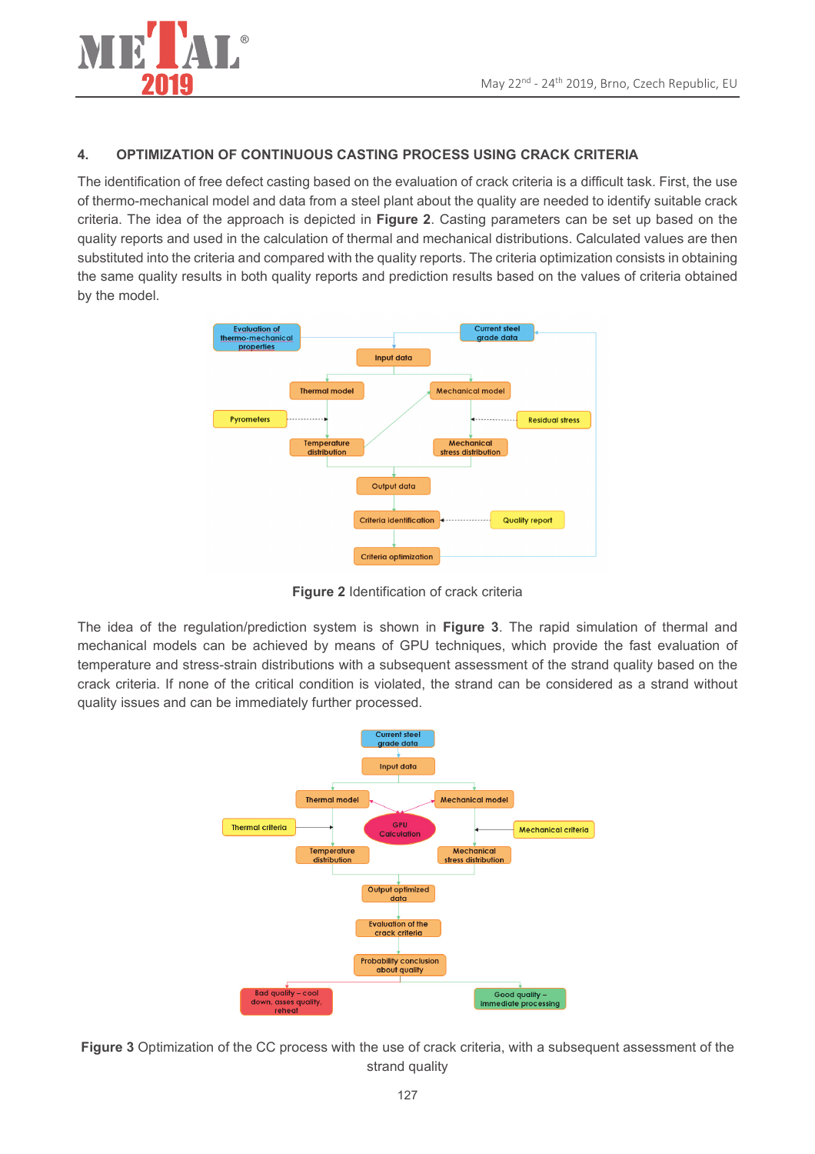

### $\overline{4}$ . OPTIMIZATION OF CONTINUOUS CASTING PROCESS USING CRACK CRITERIA

The identification of free defect casting based on the evaluation of crack criteria is a difficult task. First, the use of thermo-mechanical model and data from a steel plant about the quality are needed to identify suitable crack criteria. The idea of the approach is depicted in Figure 2. Casting parameters can be set up based on the quality reports and used in the calculation of thermal and mechanical distributions. Calculated values are then substituted into the criteria and compared with the quality reports. The criteria optimization consists in obtaining the same quality results in both quality reports and prediction results based on the values of criteria obtained by the model.



Figure 2 Identification of crack criteria

The idea of the regulation/prediction system is shown in Figure 3. The rapid simulation of thermal and mechanical models can be achieved by means of GPU techniques, which provide the fast evaluation of temperature and stress-strain distributions with a subsequent assessment of the strand quality based on the crack criteria. If none of the critical condition is violated, the strand can be considered as a strand without quality issues and can be immediately further processed.



Figure 3 Optimization of the CC process with the use of crack criteria, with a subsequent assessment of the strand quality